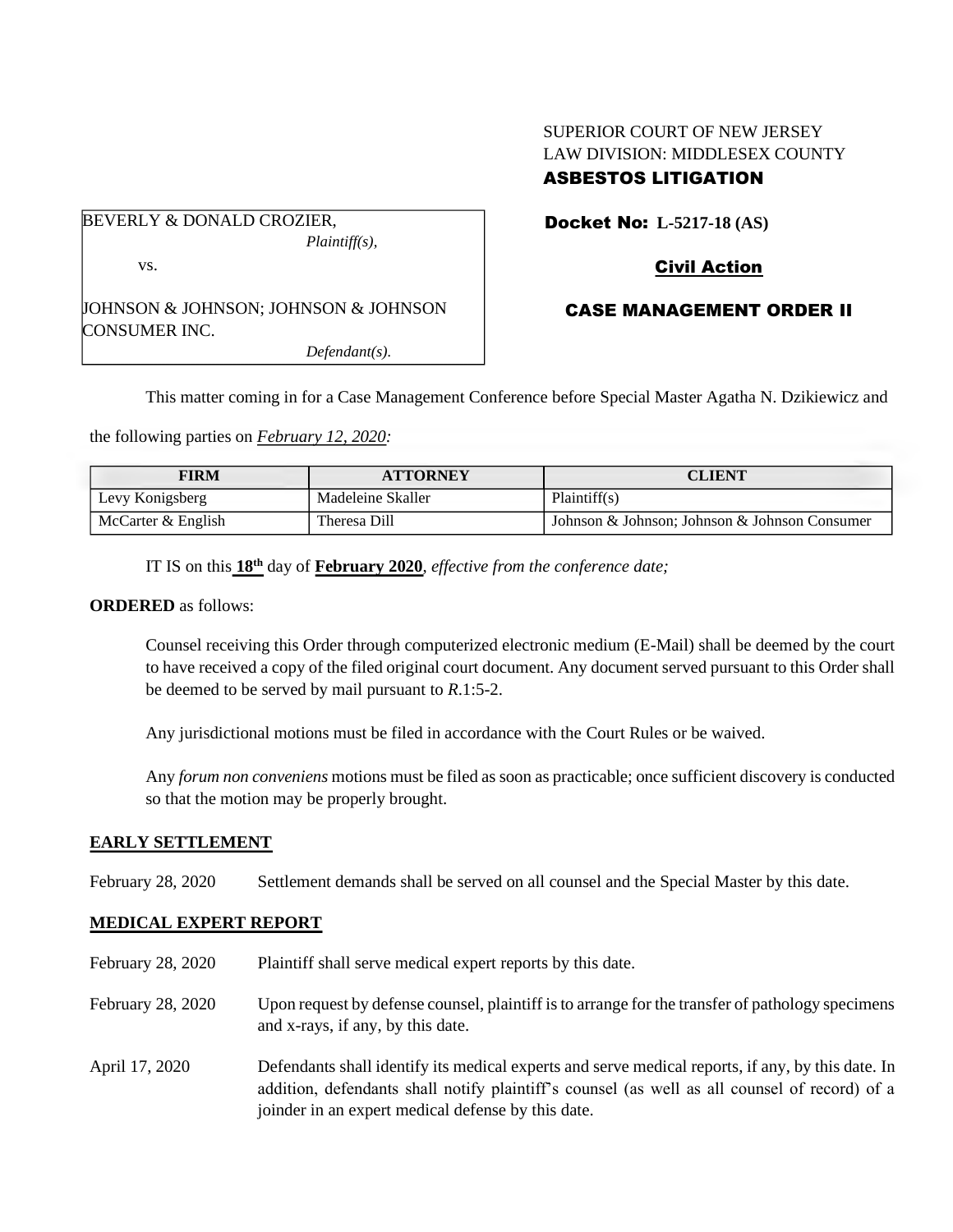# SUPERIOR COURT OF NEW JERSEY LAW DIVISION: MIDDLESEX COUNTY

# ASBESTOS LITIGATION

BEVERLY & DONALD CROZIER, *Plaintiff(s),* vs. JOHNSON & JOHNSON; JOHNSON & JOHNSON CONSUMER INC. *Defendant(s).*

## Docket No: **L-5217-18 (AS)**

# Civil Action

## CASE MANAGEMENT ORDER II

This matter coming in for a Case Management Conference before Special Master Agatha N. Dzikiewicz and

the following parties on *February 12, 2020:*

| FIRM               | <b>ATTORNEY</b>   | <b>CLIENT</b>                                 |
|--------------------|-------------------|-----------------------------------------------|
| Levy Konigsberg    | Madeleine Skaller | Plaintiff(s)                                  |
| McCarter & English | Theresa Dill      | Johnson & Johnson; Johnson & Johnson Consumer |

IT IS on this  $18<sup>th</sup>$  day of **February** 2020, *effective from the conference date*;

## **ORDERED** as follows:

Counsel receiving this Order through computerized electronic medium (E-Mail) shall be deemed by the court to have received a copy of the filed original court document. Any document served pursuant to this Order shall be deemed to be served by mail pursuant to *R*.1:5-2.

Any jurisdictional motions must be filed in accordance with the Court Rules or be waived.

Any *forum non conveniens* motions must be filed as soon as practicable; once sufficient discovery is conducted so that the motion may be properly brought.

## **EARLY SETTLEMENT**

February 28, 2020 Settlement demands shall be served on all counsel and the Special Master by this date.

## **MEDICAL EXPERT REPORT**

- February 28, 2020 Plaintiff shall serve medical expert reports by this date.
- February 28, 2020 Upon request by defense counsel, plaintiff is to arrange for the transfer of pathology specimens and x-rays, if any, by this date.
- April 17, 2020 Defendants shall identify its medical experts and serve medical reports, if any, by this date. In addition, defendants shall notify plaintiff's counsel (as well as all counsel of record) of a joinder in an expert medical defense by this date.